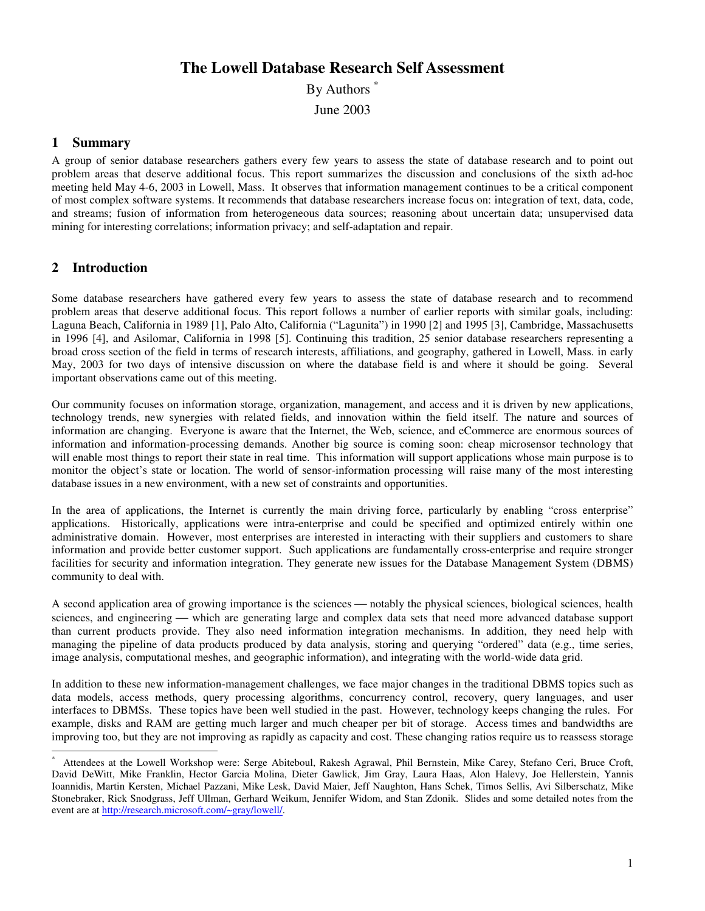# **The Lowell Database Research Self Assessment**

By Authors<sup>\*</sup>

June 2003

### **1 Summary**

A group of senior database researchers gathers every few years to assess the state of database research and to point out problem areas that deserve additional focus. This report summarizes the discussion and conclusions of the sixth ad-hoc meeting held May 4-6, 2003 in Lowell, Mass. It observes that information management continues to be a critical component of most complex software systems. It recommends that database researchers increase focus on: integration of text, data, code, and streams; fusion of information from heterogeneous data sources; reasoning about uncertain data; unsupervised data mining for interesting correlations; information privacy; and self-adaptation and repair.

# **2 Introduction**

Some database researchers have gathered every few years to assess the state of database research and to recommend problem areas that deserve additional focus. This report follows a number of earlier reports with similar goals, including: Laguna Beach, California in 1989 [1], Palo Alto, California ("Lagunita") in 1990 [2] and 1995 [3], Cambridge, Massachusetts in 1996 [4], and Asilomar, California in 1998 [5]. Continuing this tradition, 25 senior database researchers representing a broad cross section of the field in terms of research interests, affiliations, and geography, gathered in Lowell, Mass. in early May, 2003 for two days of intensive discussion on where the database field is and where it should be going. Several important observations came out of this meeting.

Our community focuses on information storage, organization, management, and access and it is driven by new applications, technology trends, new synergies with related fields, and innovation within the field itself. The nature and sources of information are changing. Everyone is aware that the Internet, the Web, science, and eCommerce are enormous sources of information and information-processing demands. Another big source is coming soon: cheap microsensor technology that will enable most things to report their state in real time. This information will support applications whose main purpose is to monitor the object's state or location. The world of sensor-information processing will raise many of the most interesting database issues in a new environment, with a new set of constraints and opportunities.

In the area of applications, the Internet is currently the main driving force, particularly by enabling "cross enterprise" applications. Historically, applications were intra-enterprise and could be specified and optimized entirely within one administrative domain. However, most enterprises are interested in interacting with their suppliers and customers to share information and provide better customer support. Such applications are fundamentally cross-enterprise and require stronger facilities for security and information integration. They generate new issues for the Database Management System (DBMS) community to deal with.

A second application area of growing importance is the sciences — notably the physical sciences, biological sciences, health sciences, and engineering — which are generating large and complex data sets that need more advanced database support than current products provide. They also need information integration mechanisms. In addition, they need help with managing the pipeline of data products produced by data analysis, storing and querying "ordered" data (e.g., time series, image analysis, computational meshes, and geographic information), and integrating with the world-wide data grid.

In addition to these new information-management challenges, we face major changes in the traditional DBMS topics such as data models, access methods, query processing algorithms, concurrency control, recovery, query languages, and user interfaces to DBMSs. These topics have been well studied in the past. However, technology keeps changing the rules. For example, disks and RAM are getting much larger and much cheaper per bit of storage. Access times and bandwidths are improving too, but they are not improving as rapidly as capacity and cost. These changing ratios require us to reassess storage

Attendees at the Lowell Workshop were: Serge Abiteboul, Rakesh Agrawal, Phil Bernstein, Mike Carey, Stefano Ceri, Bruce Croft, David DeWitt, Mike Franklin, Hector Garcia Molina, Dieter Gawlick, Jim Gray, Laura Haas, Alon Halevy, Joe Hellerstein, Yannis Ioannidis, Martin Kersten, Michael Pazzani, Mike Lesk, David Maier, Jeff Naughton, Hans Schek, Timos Sellis, Avi Silberschatz, Mike Stonebraker, Rick Snodgrass, Jeff Ullman, Gerhard Weikum, Jennifer Widom, and Stan Zdonik. Slides and some detailed notes from the event are at http://research.microsoft.com/~gray/lowell/.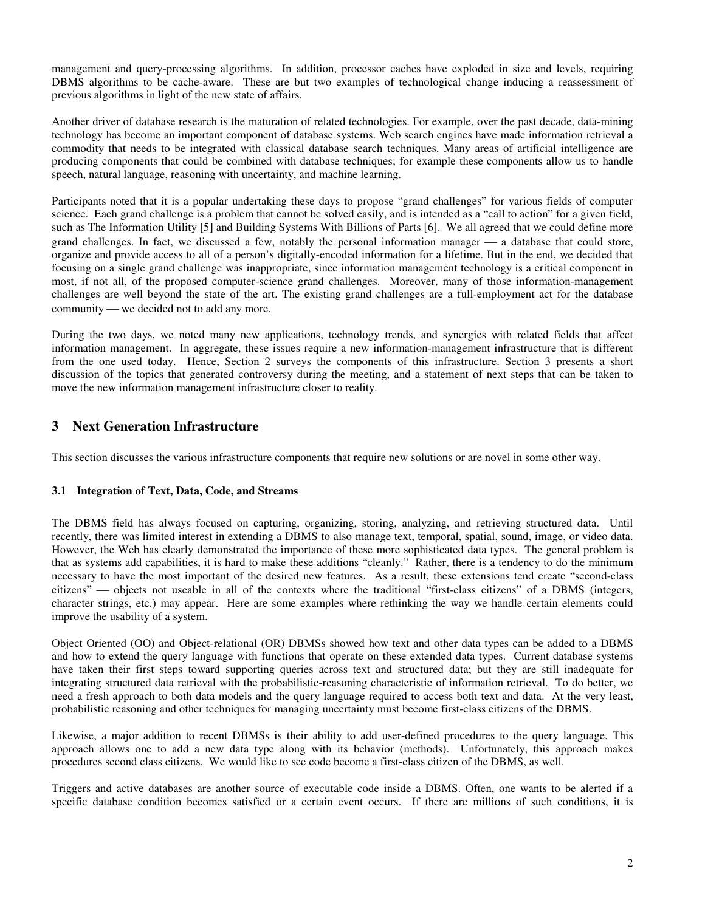management and query-processing algorithms. In addition, processor caches have exploded in size and levels, requiring DBMS algorithms to be cache-aware. These are but two examples of technological change inducing a reassessment of previous algorithms in light of the new state of affairs.

Another driver of database research is the maturation of related technologies. For example, over the past decade, data-mining technology has become an important component of database systems. Web search engines have made information retrieval a commodity that needs to be integrated with classical database search techniques. Many areas of artificial intelligence are producing components that could be combined with database techniques; for example these components allow us to handle speech, natural language, reasoning with uncertainty, and machine learning.

Participants noted that it is a popular undertaking these days to propose "grand challenges" for various fields of computer science. Each grand challenge is a problem that cannot be solved easily, and is intended as a "call to action" for a given field, such as The Information Utility [5] and Building Systems With Billions of Parts [6]. We all agreed that we could define more grand challenges. In fact, we discussed a few, notably the personal information manager  $\frac{1}{2}$  a database that could store, organize and provide access to all of a person's digitally-encoded information for a lifetime. But in the end, we decided that focusing on a single grand challenge was inappropriate, since information management technology is a critical component in most, if not all, of the proposed computer-science grand challenges. Moreover, many of those information-management challenges are well beyond the state of the art. The existing grand challenges are a full-employment act for the database community — we decided not to add any more.

During the two days, we noted many new applications, technology trends, and synergies with related fields that affect information management. In aggregate, these issues require a new information-management infrastructure that is different from the one used today. Hence, Section 2 surveys the components of this infrastructure. Section 3 presents a short discussion of the topics that generated controversy during the meeting, and a statement of next steps that can be taken to move the new information management infrastructure closer to reality.

## **3 Next Generation Infrastructure**

This section discusses the various infrastructure components that require new solutions or are novel in some other way.

### **3.1 Integration of Text, Data, Code, and Streams**

The DBMS field has always focused on capturing, organizing, storing, analyzing, and retrieving structured data. Until recently, there was limited interest in extending a DBMS to also manage text, temporal, spatial, sound, image, or video data. However, the Web has clearly demonstrated the importance of these more sophisticated data types. The general problem is that as systems add capabilities, it is hard to make these additions "cleanly." Rather, there is a tendency to do the minimum necessary to have the most important of the desired new features. As a result, these extensions tend create "second-class citizens" — objects not useable in all of the contexts where the traditional "first-class citizens" of a DBMS (integers, character strings, etc.) may appear. Here are some examples where rethinking the way we handle certain elements could improve the usability of a system.

Object Oriented (OO) and Object-relational (OR) DBMSs showed how text and other data types can be added to a DBMS and how to extend the query language with functions that operate on these extended data types. Current database systems have taken their first steps toward supporting queries across text and structured data; but they are still inadequate for integrating structured data retrieval with the probabilistic-reasoning characteristic of information retrieval. To do better, we need a fresh approach to both data models and the query language required to access both text and data. At the very least, probabilistic reasoning and other techniques for managing uncertainty must become first-class citizens of the DBMS.

Likewise, a major addition to recent DBMSs is their ability to add user-defined procedures to the query language. This approach allows one to add a new data type along with its behavior (methods). Unfortunately, this approach makes procedures second class citizens. We would like to see code become a first-class citizen of the DBMS, as well.

Triggers and active databases are another source of executable code inside a DBMS. Often, one wants to be alerted if a specific database condition becomes satisfied or a certain event occurs. If there are millions of such conditions, it is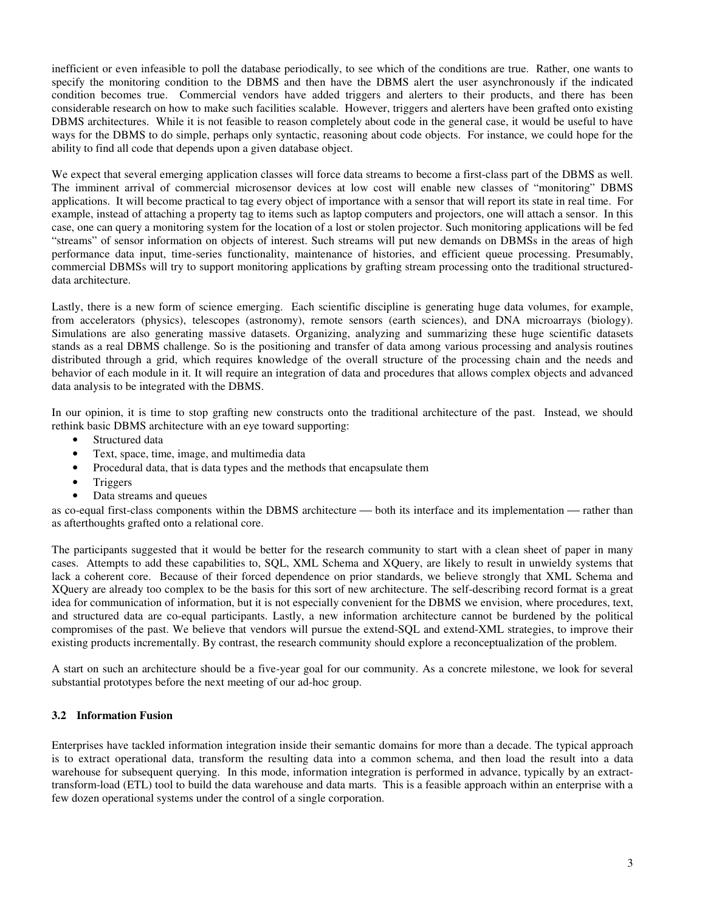inefficient or even infeasible to poll the database periodically, to see which of the conditions are true. Rather, one wants to specify the monitoring condition to the DBMS and then have the DBMS alert the user asynchronously if the indicated condition becomes true. Commercial vendors have added triggers and alerters to their products, and there has been considerable research on how to make such facilities scalable. However, triggers and alerters have been grafted onto existing DBMS architectures. While it is not feasible to reason completely about code in the general case, it would be useful to have ways for the DBMS to do simple, perhaps only syntactic, reasoning about code objects. For instance, we could hope for the ability to find all code that depends upon a given database object.

We expect that several emerging application classes will force data streams to become a first-class part of the DBMS as well. The imminent arrival of commercial microsensor devices at low cost will enable new classes of "monitoring" DBMS applications. It will become practical to tag every object of importance with a sensor that will report its state in real time. For example, instead of attaching a property tag to items such as laptop computers and projectors, one will attach a sensor. In this case, one can query a monitoring system for the location of a lost or stolen projector. Such monitoring applications will be fed "streams" of sensor information on objects of interest. Such streams will put new demands on DBMSs in the areas of high performance data input, time-series functionality, maintenance of histories, and efficient queue processing. Presumably, commercial DBMSs will try to support monitoring applications by grafting stream processing onto the traditional structureddata architecture.

Lastly, there is a new form of science emerging. Each scientific discipline is generating huge data volumes, for example, from accelerators (physics), telescopes (astronomy), remote sensors (earth sciences), and DNA microarrays (biology). Simulations are also generating massive datasets. Organizing, analyzing and summarizing these huge scientific datasets stands as a real DBMS challenge. So is the positioning and transfer of data among various processing and analysis routines distributed through a grid, which requires knowledge of the overall structure of the processing chain and the needs and behavior of each module in it. It will require an integration of data and procedures that allows complex objects and advanced data analysis to be integrated with the DBMS.

In our opinion, it is time to stop grafting new constructs onto the traditional architecture of the past. Instead, we should rethink basic DBMS architecture with an eye toward supporting:

- Structured data
- Text, space, time, image, and multimedia data
- Procedural data, that is data types and the methods that encapsulate them
- Triggers
- Data streams and queues

as co-equal first-class components within the DBMS architecture — both its interface and its implementation — rather than as afterthoughts grafted onto a relational core.

The participants suggested that it would be better for the research community to start with a clean sheet of paper in many cases. Attempts to add these capabilities to, SQL, XML Schema and XQuery, are likely to result in unwieldy systems that lack a coherent core. Because of their forced dependence on prior standards, we believe strongly that XML Schema and XQuery are already too complex to be the basis for this sort of new architecture. The self-describing record format is a great idea for communication of information, but it is not especially convenient for the DBMS we envision, where procedures, text, and structured data are co-equal participants. Lastly, a new information architecture cannot be burdened by the political compromises of the past. We believe that vendors will pursue the extend-SQL and extend-XML strategies, to improve their existing products incrementally. By contrast, the research community should explore a reconceptualization of the problem.

A start on such an architecture should be a five-year goal for our community. As a concrete milestone, we look for several substantial prototypes before the next meeting of our ad-hoc group.

### **3.2 Information Fusion**

Enterprises have tackled information integration inside their semantic domains for more than a decade. The typical approach is to extract operational data, transform the resulting data into a common schema, and then load the result into a data warehouse for subsequent querying. In this mode, information integration is performed in advance, typically by an extracttransform-load (ETL) tool to build the data warehouse and data marts. This is a feasible approach within an enterprise with a few dozen operational systems under the control of a single corporation.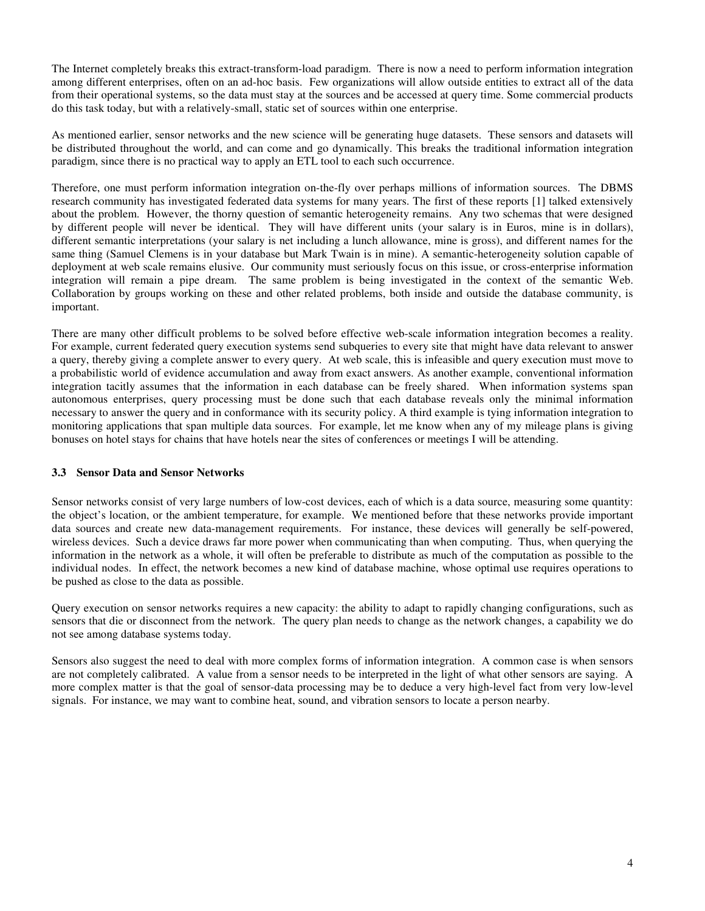The Internet completely breaks this extract-transform-load paradigm. There is now a need to perform information integration among different enterprises, often on an ad-hoc basis. Few organizations will allow outside entities to extract all of the data from their operational systems, so the data must stay at the sources and be accessed at query time. Some commercial products do this task today, but with a relatively-small, static set of sources within one enterprise.

As mentioned earlier, sensor networks and the new science will be generating huge datasets. These sensors and datasets will be distributed throughout the world, and can come and go dynamically. This breaks the traditional information integration paradigm, since there is no practical way to apply an ETL tool to each such occurrence.

Therefore, one must perform information integration on-the-fly over perhaps millions of information sources. The DBMS research community has investigated federated data systems for many years. The first of these reports [1] talked extensively about the problem. However, the thorny question of semantic heterogeneity remains. Any two schemas that were designed by different people will never be identical. They will have different units (your salary is in Euros, mine is in dollars), different semantic interpretations (your salary is net including a lunch allowance, mine is gross), and different names for the same thing (Samuel Clemens is in your database but Mark Twain is in mine). A semantic-heterogeneity solution capable of deployment at web scale remains elusive. Our community must seriously focus on this issue, or cross-enterprise information integration will remain a pipe dream. The same problem is being investigated in the context of the semantic Web. Collaboration by groups working on these and other related problems, both inside and outside the database community, is important.

There are many other difficult problems to be solved before effective web-scale information integration becomes a reality. For example, current federated query execution systems send subqueries to every site that might have data relevant to answer a query, thereby giving a complete answer to every query. At web scale, this is infeasible and query execution must move to a probabilistic world of evidence accumulation and away from exact answers. As another example, conventional information integration tacitly assumes that the information in each database can be freely shared. When information systems span autonomous enterprises, query processing must be done such that each database reveals only the minimal information necessary to answer the query and in conformance with its security policy. A third example is tying information integration to monitoring applications that span multiple data sources. For example, let me know when any of my mileage plans is giving bonuses on hotel stays for chains that have hotels near the sites of conferences or meetings I will be attending.

### **3.3 Sensor Data and Sensor Networks**

Sensor networks consist of very large numbers of low-cost devices, each of which is a data source, measuring some quantity: the object's location, or the ambient temperature, for example. We mentioned before that these networks provide important data sources and create new data-management requirements. For instance, these devices will generally be self-powered, wireless devices. Such a device draws far more power when communicating than when computing. Thus, when querying the information in the network as a whole, it will often be preferable to distribute as much of the computation as possible to the individual nodes. In effect, the network becomes a new kind of database machine, whose optimal use requires operations to be pushed as close to the data as possible.

Query execution on sensor networks requires a new capacity: the ability to adapt to rapidly changing configurations, such as sensors that die or disconnect from the network. The query plan needs to change as the network changes, a capability we do not see among database systems today.

Sensors also suggest the need to deal with more complex forms of information integration. A common case is when sensors are not completely calibrated. A value from a sensor needs to be interpreted in the light of what other sensors are saying. A more complex matter is that the goal of sensor-data processing may be to deduce a very high-level fact from very low-level signals. For instance, we may want to combine heat, sound, and vibration sensors to locate a person nearby.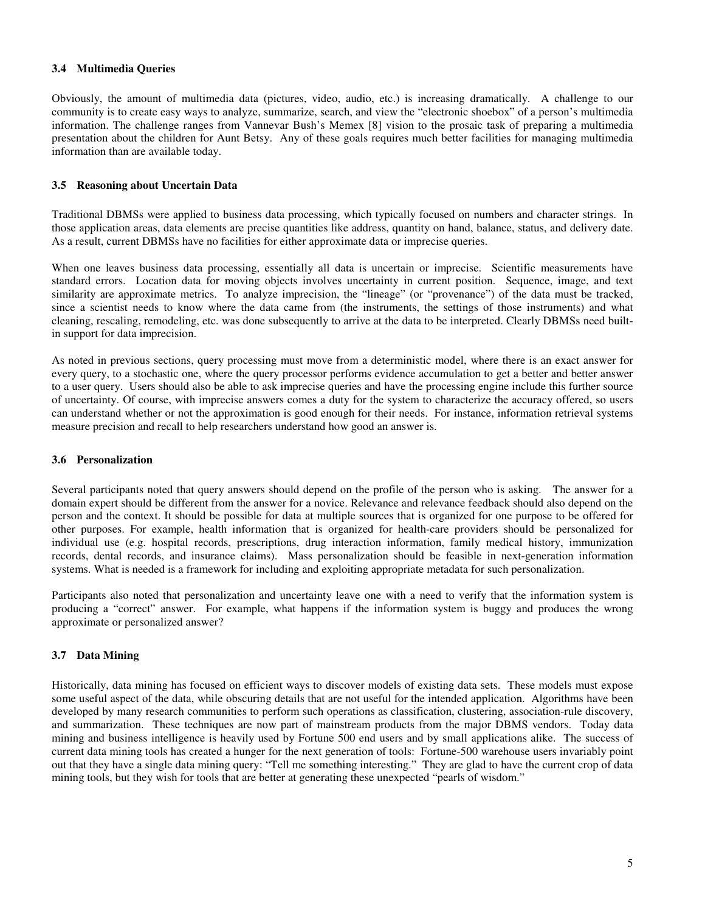#### **3.4 Multimedia Queries**

Obviously, the amount of multimedia data (pictures, video, audio, etc.) is increasing dramatically. A challenge to our community is to create easy ways to analyze, summarize, search, and view the "electronic shoebox" of a person's multimedia information. The challenge ranges from Vannevar Bush's Memex [8] vision to the prosaic task of preparing a multimedia presentation about the children for Aunt Betsy. Any of these goals requires much better facilities for managing multimedia information than are available today.

#### **3.5 Reasoning about Uncertain Data**

Traditional DBMSs were applied to business data processing, which typically focused on numbers and character strings. In those application areas, data elements are precise quantities like address, quantity on hand, balance, status, and delivery date. As a result, current DBMSs have no facilities for either approximate data or imprecise queries.

When one leaves business data processing, essentially all data is uncertain or imprecise. Scientific measurements have standard errors. Location data for moving objects involves uncertainty in current position. Sequence, image, and text similarity are approximate metrics. To analyze imprecision, the "lineage" (or "provenance") of the data must be tracked, since a scientist needs to know where the data came from (the instruments, the settings of those instruments) and what cleaning, rescaling, remodeling, etc. was done subsequently to arrive at the data to be interpreted. Clearly DBMSs need builtin support for data imprecision.

As noted in previous sections, query processing must move from a deterministic model, where there is an exact answer for every query, to a stochastic one, where the query processor performs evidence accumulation to get a better and better answer to a user query. Users should also be able to ask imprecise queries and have the processing engine include this further source of uncertainty. Of course, with imprecise answers comes a duty for the system to characterize the accuracy offered, so users can understand whether or not the approximation is good enough for their needs. For instance, information retrieval systems measure precision and recall to help researchers understand how good an answer is.

#### **3.6 Personalization**

Several participants noted that query answers should depend on the profile of the person who is asking. The answer for a domain expert should be different from the answer for a novice. Relevance and relevance feedback should also depend on the person and the context. It should be possible for data at multiple sources that is organized for one purpose to be offered for other purposes. For example, health information that is organized for health-care providers should be personalized for individual use (e.g. hospital records, prescriptions, drug interaction information, family medical history, immunization records, dental records, and insurance claims). Mass personalization should be feasible in next-generation information systems. What is needed is a framework for including and exploiting appropriate metadata for such personalization.

Participants also noted that personalization and uncertainty leave one with a need to verify that the information system is producing a "correct" answer. For example, what happens if the information system is buggy and produces the wrong approximate or personalized answer?

### **3.7 Data Mining**

Historically, data mining has focused on efficient ways to discover models of existing data sets. These models must expose some useful aspect of the data, while obscuring details that are not useful for the intended application. Algorithms have been developed by many research communities to perform such operations as classification, clustering, association-rule discovery, and summarization. These techniques are now part of mainstream products from the major DBMS vendors. Today data mining and business intelligence is heavily used by Fortune 500 end users and by small applications alike. The success of current data mining tools has created a hunger for the next generation of tools: Fortune-500 warehouse users invariably point out that they have a single data mining query: "Tell me something interesting." They are glad to have the current crop of data mining tools, but they wish for tools that are better at generating these unexpected "pearls of wisdom."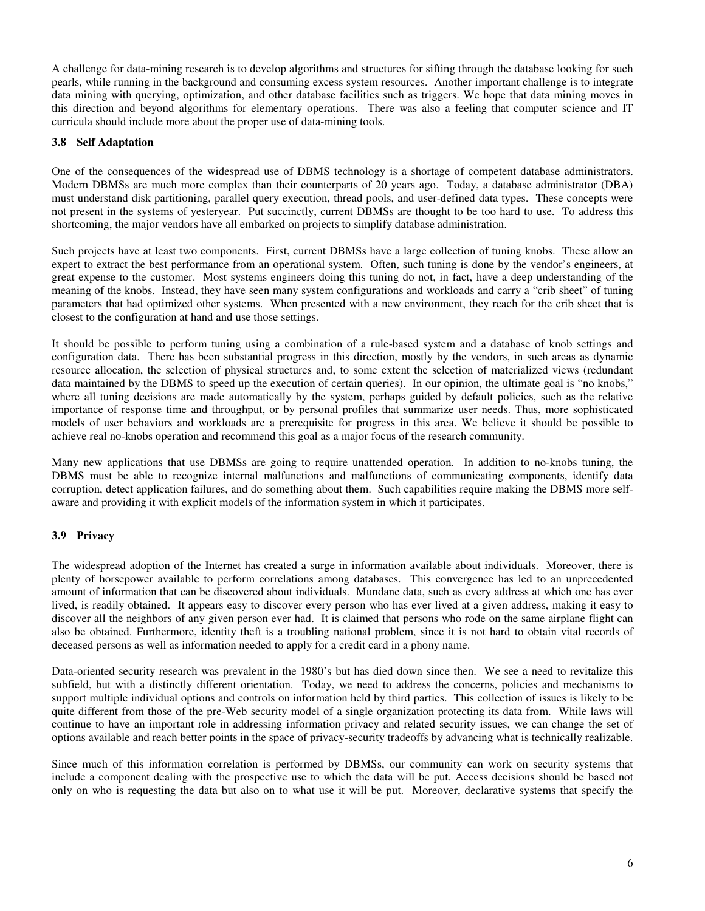A challenge for data-mining research is to develop algorithms and structures for sifting through the database looking for such pearls, while running in the background and consuming excess system resources. Another important challenge is to integrate data mining with querying, optimization, and other database facilities such as triggers. We hope that data mining moves in this direction and beyond algorithms for elementary operations. There was also a feeling that computer science and IT curricula should include more about the proper use of data-mining tools.

#### **3.8 Self Adaptation**

One of the consequences of the widespread use of DBMS technology is a shortage of competent database administrators. Modern DBMSs are much more complex than their counterparts of 20 years ago. Today, a database administrator (DBA) must understand disk partitioning, parallel query execution, thread pools, and user-defined data types. These concepts were not present in the systems of yesteryear. Put succinctly, current DBMSs are thought to be too hard to use. To address this shortcoming, the major vendors have all embarked on projects to simplify database administration.

Such projects have at least two components. First, current DBMSs have a large collection of tuning knobs. These allow an expert to extract the best performance from an operational system. Often, such tuning is done by the vendor's engineers, at great expense to the customer. Most systems engineers doing this tuning do not, in fact, have a deep understanding of the meaning of the knobs. Instead, they have seen many system configurations and workloads and carry a "crib sheet" of tuning parameters that had optimized other systems. When presented with a new environment, they reach for the crib sheet that is closest to the configuration at hand and use those settings.

It should be possible to perform tuning using a combination of a rule-based system and a database of knob settings and configuration data. There has been substantial progress in this direction, mostly by the vendors, in such areas as dynamic resource allocation, the selection of physical structures and, to some extent the selection of materialized views (redundant data maintained by the DBMS to speed up the execution of certain queries). In our opinion, the ultimate goal is "no knobs," where all tuning decisions are made automatically by the system, perhaps guided by default policies, such as the relative importance of response time and throughput, or by personal profiles that summarize user needs. Thus, more sophisticated models of user behaviors and workloads are a prerequisite for progress in this area. We believe it should be possible to achieve real no-knobs operation and recommend this goal as a major focus of the research community.

Many new applications that use DBMSs are going to require unattended operation. In addition to no-knobs tuning, the DBMS must be able to recognize internal malfunctions and malfunctions of communicating components, identify data corruption, detect application failures, and do something about them. Such capabilities require making the DBMS more selfaware and providing it with explicit models of the information system in which it participates.

### **3.9 Privacy**

The widespread adoption of the Internet has created a surge in information available about individuals. Moreover, there is plenty of horsepower available to perform correlations among databases. This convergence has led to an unprecedented amount of information that can be discovered about individuals. Mundane data, such as every address at which one has ever lived, is readily obtained. It appears easy to discover every person who has ever lived at a given address, making it easy to discover all the neighbors of any given person ever had. It is claimed that persons who rode on the same airplane flight can also be obtained. Furthermore, identity theft is a troubling national problem, since it is not hard to obtain vital records of deceased persons as well as information needed to apply for a credit card in a phony name.

Data-oriented security research was prevalent in the 1980's but has died down since then. We see a need to revitalize this subfield, but with a distinctly different orientation. Today, we need to address the concerns, policies and mechanisms to support multiple individual options and controls on information held by third parties. This collection of issues is likely to be quite different from those of the pre-Web security model of a single organization protecting its data from. While laws will continue to have an important role in addressing information privacy and related security issues, we can change the set of options available and reach better points in the space of privacy-security tradeoffs by advancing what is technically realizable.

Since much of this information correlation is performed by DBMSs, our community can work on security systems that include a component dealing with the prospective use to which the data will be put. Access decisions should be based not only on who is requesting the data but also on to what use it will be put. Moreover, declarative systems that specify the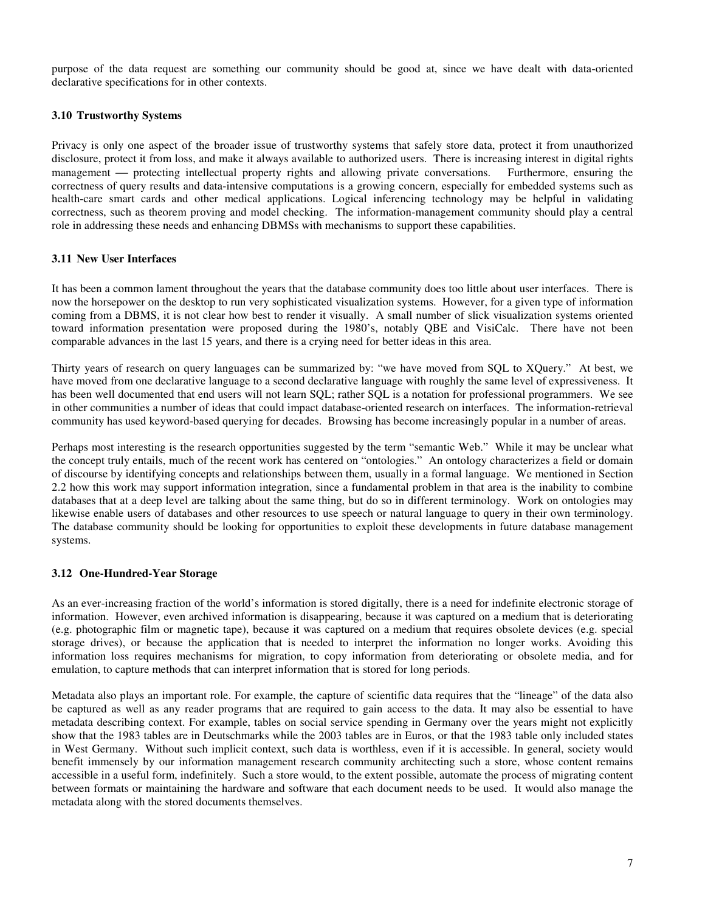purpose of the data request are something our community should be good at, since we have dealt with data-oriented declarative specifications for in other contexts.

#### **3.10 Trustworthy Systems**

Privacy is only one aspect of the broader issue of trustworthy systems that safely store data, protect it from unauthorized disclosure, protect it from loss, and make it always available to authorized users. There is increasing interest in digital rights management — protecting intellectual property rights and allowing private conversations. Furthermore, ensuring the correctness of query results and data-intensive computations is a growing concern, especially for embedded systems such as health-care smart cards and other medical applications. Logical inferencing technology may be helpful in validating correctness, such as theorem proving and model checking. The information-management community should play a central role in addressing these needs and enhancing DBMSs with mechanisms to support these capabilities.

### **3.11 New User Interfaces**

It has been a common lament throughout the years that the database community does too little about user interfaces. There is now the horsepower on the desktop to run very sophisticated visualization systems. However, for a given type of information coming from a DBMS, it is not clear how best to render it visually. A small number of slick visualization systems oriented toward information presentation were proposed during the 1980's, notably QBE and VisiCalc. There have not been comparable advances in the last 15 years, and there is a crying need for better ideas in this area.

Thirty years of research on query languages can be summarized by: "we have moved from SQL to XQuery." At best, we have moved from one declarative language to a second declarative language with roughly the same level of expressiveness. It has been well documented that end users will not learn SQL; rather SQL is a notation for professional programmers. We see in other communities a number of ideas that could impact database-oriented research on interfaces. The information-retrieval community has used keyword-based querying for decades. Browsing has become increasingly popular in a number of areas.

Perhaps most interesting is the research opportunities suggested by the term "semantic Web." While it may be unclear what the concept truly entails, much of the recent work has centered on "ontologies." An ontology characterizes a field or domain of discourse by identifying concepts and relationships between them, usually in a formal language. We mentioned in Section 2.2 how this work may support information integration, since a fundamental problem in that area is the inability to combine databases that at a deep level are talking about the same thing, but do so in different terminology. Work on ontologies may likewise enable users of databases and other resources to use speech or natural language to query in their own terminology. The database community should be looking for opportunities to exploit these developments in future database management systems.

#### **3.12 One-Hundred-Year Storage**

As an ever-increasing fraction of the world's information is stored digitally, there is a need for indefinite electronic storage of information. However, even archived information is disappearing, because it was captured on a medium that is deteriorating (e.g. photographic film or magnetic tape), because it was captured on a medium that requires obsolete devices (e.g. special storage drives), or because the application that is needed to interpret the information no longer works. Avoiding this information loss requires mechanisms for migration, to copy information from deteriorating or obsolete media, and for emulation, to capture methods that can interpret information that is stored for long periods.

Metadata also plays an important role. For example, the capture of scientific data requires that the "lineage" of the data also be captured as well as any reader programs that are required to gain access to the data. It may also be essential to have metadata describing context. For example, tables on social service spending in Germany over the years might not explicitly show that the 1983 tables are in Deutschmarks while the 2003 tables are in Euros, or that the 1983 table only included states in West Germany. Without such implicit context, such data is worthless, even if it is accessible. In general, society would benefit immensely by our information management research community architecting such a store, whose content remains accessible in a useful form, indefinitely. Such a store would, to the extent possible, automate the process of migrating content between formats or maintaining the hardware and software that each document needs to be used. It would also manage the metadata along with the stored documents themselves.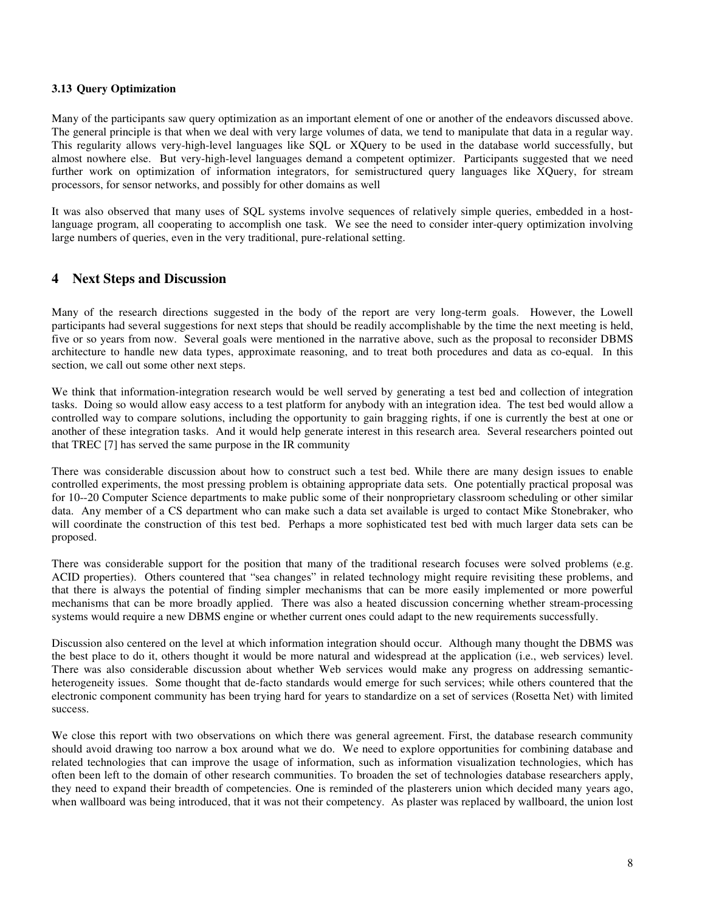#### **3.13 Query Optimization**

Many of the participants saw query optimization as an important element of one or another of the endeavors discussed above. The general principle is that when we deal with very large volumes of data, we tend to manipulate that data in a regular way. This regularity allows very-high-level languages like SQL or XQuery to be used in the database world successfully, but almost nowhere else. But very-high-level languages demand a competent optimizer. Participants suggested that we need further work on optimization of information integrators, for semistructured query languages like XQuery, for stream processors, for sensor networks, and possibly for other domains as well

It was also observed that many uses of SQL systems involve sequences of relatively simple queries, embedded in a hostlanguage program, all cooperating to accomplish one task. We see the need to consider inter-query optimization involving large numbers of queries, even in the very traditional, pure-relational setting.

### **4 Next Steps and Discussion**

Many of the research directions suggested in the body of the report are very long-term goals. However, the Lowell participants had several suggestions for next steps that should be readily accomplishable by the time the next meeting is held, five or so years from now. Several goals were mentioned in the narrative above, such as the proposal to reconsider DBMS architecture to handle new data types, approximate reasoning, and to treat both procedures and data as co-equal. In this section, we call out some other next steps.

We think that information-integration research would be well served by generating a test bed and collection of integration tasks. Doing so would allow easy access to a test platform for anybody with an integration idea. The test bed would allow a controlled way to compare solutions, including the opportunity to gain bragging rights, if one is currently the best at one or another of these integration tasks. And it would help generate interest in this research area. Several researchers pointed out that TREC [7] has served the same purpose in the IR community

There was considerable discussion about how to construct such a test bed. While there are many design issues to enable controlled experiments, the most pressing problem is obtaining appropriate data sets. One potentially practical proposal was for 10--20 Computer Science departments to make public some of their nonproprietary classroom scheduling or other similar data. Any member of a CS department who can make such a data set available is urged to contact Mike Stonebraker, who will coordinate the construction of this test bed. Perhaps a more sophisticated test bed with much larger data sets can be proposed.

There was considerable support for the position that many of the traditional research focuses were solved problems (e.g. ACID properties). Others countered that "sea changes" in related technology might require revisiting these problems, and that there is always the potential of finding simpler mechanisms that can be more easily implemented or more powerful mechanisms that can be more broadly applied. There was also a heated discussion concerning whether stream-processing systems would require a new DBMS engine or whether current ones could adapt to the new requirements successfully.

Discussion also centered on the level at which information integration should occur. Although many thought the DBMS was the best place to do it, others thought it would be more natural and widespread at the application (i.e., web services) level. There was also considerable discussion about whether Web services would make any progress on addressing semanticheterogeneity issues. Some thought that de-facto standards would emerge for such services; while others countered that the electronic component community has been trying hard for years to standardize on a set of services (Rosetta Net) with limited success.

We close this report with two observations on which there was general agreement. First, the database research community should avoid drawing too narrow a box around what we do. We need to explore opportunities for combining database and related technologies that can improve the usage of information, such as information visualization technologies, which has often been left to the domain of other research communities. To broaden the set of technologies database researchers apply, they need to expand their breadth of competencies. One is reminded of the plasterers union which decided many years ago, when wallboard was being introduced, that it was not their competency. As plaster was replaced by wallboard, the union lost